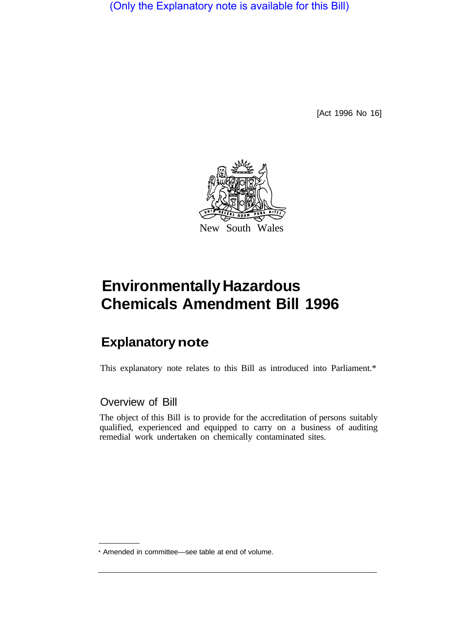(Only the Explanatory note is available for this Bill)

[Act 1996 No 16]



# **Environmentally Hazardous Chemicals Amendment Bill 1996**

## **Explanatory note**

This explanatory note relates to this Bill as introduced into Parliament.\*

#### Overview of Bill

The object of this Bill is to provide for the accreditation of persons suitably qualified, experienced and equipped to carry on a business of auditing remedial work undertaken on chemically contaminated sites.

<sup>\*</sup> Amended in committee—see table at end of volume.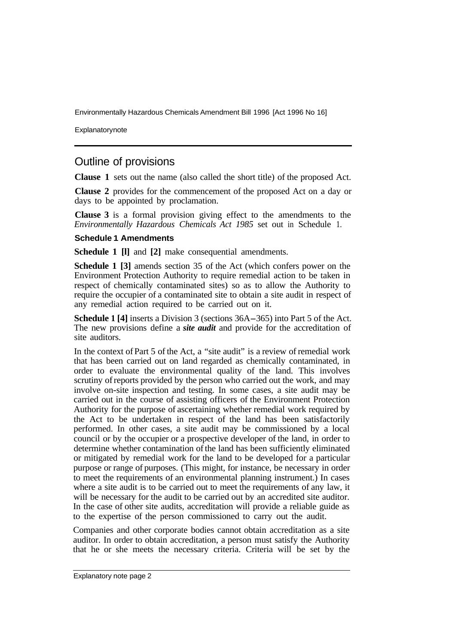Environmentally Hazardous Chemicals Amendment Bill 1996 [Act 1996 No 16]

Explanatory note

### Outline of provisions

**Clause 1** sets out the name (also called the short title) of the proposed Act.

**Clause 2** provides for the commencement of the proposed Act on a day or days to be appointed by proclamation.

**Clause 3** is a formal provision giving effect to the amendments to the *Environmentally Hazardous Chemicals Act 1985* set out in Schedule 1.

#### **Schedule 1 Amendments**

**Schedule 1 [l]** and **[2]** make consequential amendments.

**Schedule 1 [3]** amends section 35 of the Act (which confers power on the Environment Protection Authority to require remedial action to be taken in respect of chemically contaminated sites) so as to allow the Authority to require the occupier of a contaminated site to obtain a site audit in respect of any remedial action required to be carried out on it.

**Schedule 1 [4]** inserts a Division 3 (sections 36A-365) into Part 5 of the Act. The new provisions define a *site audit* and provide for the accreditation of site auditors.

In the context of Part 5 of the Act, a "site audit" is a review of remedial work that has been carried out on land regarded as chemically contaminated, in order to evaluate the environmental quality of the land. This involves scrutiny of reports provided by the person who carried out the work, and may involve on-site inspection and testing. In some cases, a site audit may be carried out in the course of assisting officers of the Environment Protection Authority for the purpose of ascertaining whether remedial work required by the Act to be undertaken in respect of the land has been satisfactorily performed. In other cases, a site audit may be commissioned by a local council or by the occupier or a prospective developer of the land, in order to determine whether contamination of the land has been sufficiently eliminated or mitigated by remedial work for the land to be developed for a particular purpose or range of purposes. (This might, for instance, be necessary in order to meet the requirements of an environmental planning instrument.) In cases where a site audit is to be carried out to meet the requirements of any law, it will be necessary for the audit to be carried out by an accredited site auditor. In the case of other site audits, accreditation will provide a reliable guide as to the expertise of the person commissioned to carry out the audit.

Companies and other corporate bodies cannot obtain accreditation as a site auditor. In order to obtain accreditation, a person must satisfy the Authority that he or she meets the necessary criteria. Criteria will be set by the